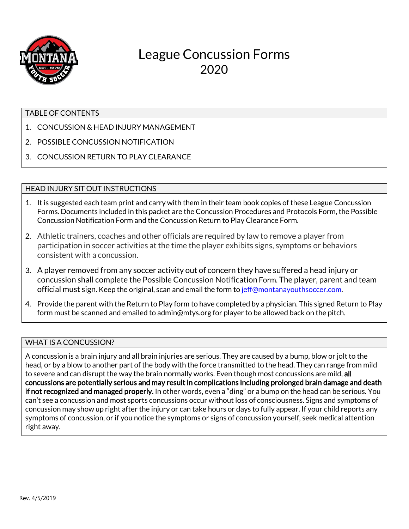

# League Concussion Forms 2020

#### TABLE OF CONTENTS

- 1. CONCUSSION & HEAD INJURY MANAGEMENT
- 2. POSSIBLE CONCUSSION NOTIFICATION
- 3. CONCUSSION RETURN TO PLAY CLEARANCE

### HEAD INJURY SIT OUT INSTRUCTIONS

- 1. It is suggested each team print and carry with them in their team book copies of these League Concussion Forms. Documents included in this packet are the Concussion Procedures and Protocols Form, the Possible Concussion Notification Form and the Concussion Return to Play Clearance Form.
- 2. Athletic trainers, coaches and other officials are required by law to remove a player from participation in soccer activities at the time the player exhibits signs, symptoms or behaviors consistent with a concussion.
- 3. A player removed from any soccer activity out of concern they have suffered a head injury or concussion shall complete the Possible Concussion Notification Form. The player, parent and team official must sign. Keep the original, scan and email the form t[o jeff@montanayouthsoccer.com.](mailto:jeff@montanayouthsoccer.com)
- 4. Provide the parent with the Return to Play form to have completed by a physician. This signed Return to Play form must be scanned and emailed to admin@mtys.org for player to be allowed back on the pitch.

#### WHAT IS A CONCUSSION?

A concussion is a brain injury and all brain injuries are serious. They are caused by a bump, blow or jolt to the head, or by a blow to another part of the body with the force transmitted to the head. They can range from mild to severe and can disrupt the way the brain normally works. Even though most concussions are mild, all concussions are potentially serious and may result in complications including prolonged brain damage and death if not recognized and managed properly. In other words, even a "ding" or a bump on the head can be serious. You can't see a concussion and most sports concussions occur without loss of consciousness. Signs and symptoms of concussion may show up right after the injury or can take hours or days to fully appear. If your child reports any symptoms of concussion, or if you notice the symptoms or signs of concussion yourself, seek medical attention right away.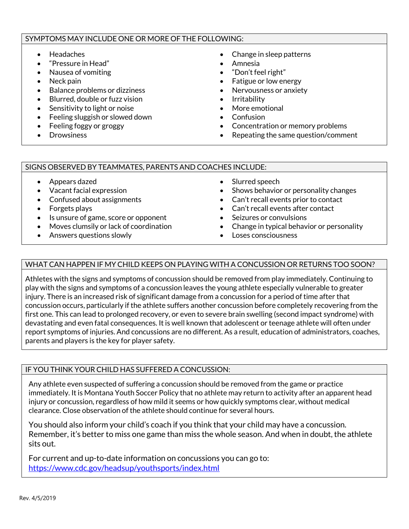#### SYMPTOMS MAY INCLUDE ONE OR MORE OF THE FOLLOWING:

- Headaches
- "Pressure in Head"
- Nausea of vomiting
- Neck pain
- Balance problems or dizziness
- Blurred, double or fuzz vision
- Sensitivity to light or noise
- Feeling sluggish or slowed down
- Feeling foggy or groggy
- Drowsiness
- Change in sleep patterns
- Amnesia
- "Don't feel right"
- Fatigue or low energy
- Nervousness or anxiety
- Irritability
- More emotional
- Confusion
- Concentration or memory problems
- Repeating the same question/comment

#### SIGNS OBSERVED BY TEAMMATES, PARENTS AND COACHES INCLUDE:

- Appears dazed
- Vacant facial expression
- Confused about assignments
- Forgets plays
- Is unsure of game, score or opponent
- Moves clumsily or lack of coordination
- Answers questions slowly
- Slurred speech
- Shows behavior or personality changes
- Can't recall events prior to contact
- Can't recall events after contact
- Seizures or convulsions
- Change in typical behavior or personality
- Loses consciousness

### WHAT CAN HAPPEN IF MY CHILD KEEPS ON PLAYING WITH A CONCUSSION OR RETURNS TOO SOON?

Athletes with the signs and symptoms of concussion should be removed from play immediately. Continuing to play with the signs and symptoms of a concussion leaves the young athlete especially vulnerable to greater injury. There is an increased risk of significant damage from a concussion for a period of time after that concussion occurs, particularly if the athlete suffers another concussion before completely recovering from the first one. This can lead to prolonged recovery, or even to severe brain swelling (second impact syndrome) with devastating and even fatal consequences. It is well known that adolescent or teenage athlete will often under report symptoms of injuries. And concussions are no different. As a result, education of administrators, coaches, parents and players is the key for player safety.

#### IF YOU THINK YOUR CHILD HAS SUFFERED A CONCUSSION:

Any athlete even suspected of suffering a concussion should be removed from the game or practice immediately. It is Montana Youth Soccer Policy that no athlete may return to activity after an apparent head injury or concussion, regardless of how mild it seems or how quickly symptoms clear, without medical clearance. Close observation of the athlete should continue for several hours.

You should also inform your child's coach if you think that your child may have a concussion. Remember, it's better to miss one game than miss the whole season. And when in doubt, the athlete sits out.

For current and up-to-date information on concussions you can go to: <https://www.cdc.gov/headsup/youthsports/index.html>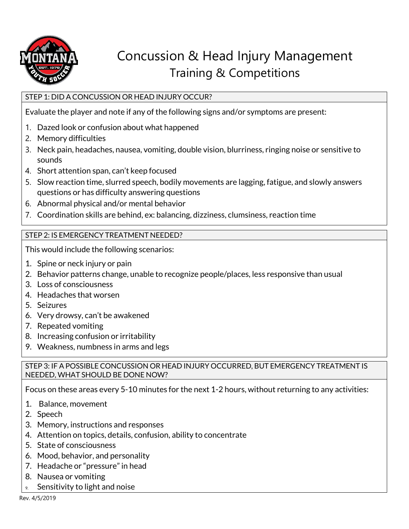

# Concussion & Head Injury Management Training & Competitions

### STEP 1: DID A CONCUSSION OR HEAD INJURY OCCUR?

Evaluate the player and note if any of the following signs and/or symptoms are present:

- 1. Dazed look or confusion about what happened
- 2. Memory difficulties
- 3. Neck pain, headaches, nausea, vomiting, double vision, blurriness, ringing noise or sensitive to sounds
- 4. Short attention span, can't keep focused
- 5. Slow reaction time, slurred speech, bodily movements are lagging, fatigue, and slowly answers questions or has difficulty answering questions
- 6. Abnormal physical and/or mental behavior
- 7. Coordination skills are behind, ex: balancing, dizziness, clumsiness, reaction time

## STEP 2: IS EMERGENCY TREATMENT NEEDED?

This would include the following scenarios:

- 1. Spine or neck injury or pain
- 2. Behavior patterns change, unable to recognize people/places, less responsive than usual
- 3. Loss of consciousness
- 4. Headaches that worsen
- 5. Seizures
- 6. Very drowsy, can't be awakened
- 7. Repeated vomiting
- 8. Increasing confusion or irritability
- 9. Weakness, numbness in arms and legs

## STEP 3: IF A POSSIBLE CONCUSSION OR HEAD INJURY OCCURRED, BUT EMERGENCY TREATMENT IS NEEDED, WHAT SHOULD BE DONE NOW?

Focus on these areas every 5-10 minutes for the next 1-2 hours, without returning to any activities:

- 1. Balance, movement
- 2. Speech
- 3. Memory, instructions and responses
- 4. Attention on topics, details, confusion, ability to concentrate
- 5. State of consciousness
- 6. Mood, behavior, and personality
- 7. Headache or "pressure" in head
- 8. Nausea or vomiting
- Sensitivity to light and noise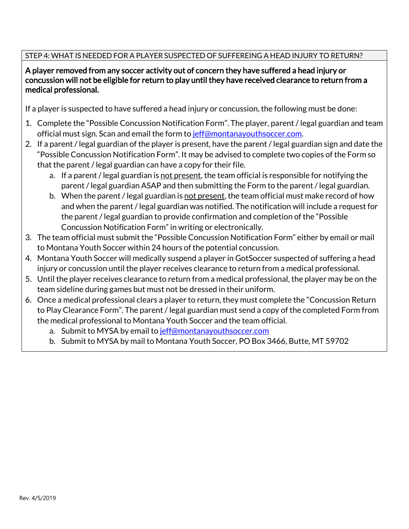# STEP 4: WHAT IS NEEDED FOR A PLAYER SUSPECTED OF SUFFEREING A HEAD INJURY TO RETURN?

# A player removed from any soccer activity out of concern they have suffered a head injury or concussion will not be eligible for return to play until they have received clearance to return from a medical professional.

If a player is suspected to have suffered a head injury or concussion, the following must be done:

- 1. Complete the "Possible Concussion Notification Form". The player, parent / legal guardian and team official must sign. Scan and email the form t[o jeff@montanayouthsoccer.com.](mailto:jeff@montanayouthsoccer.com)
- 2. If a parent / legal guardian of the player is present, have the parent / legal guardian sign and date the "Possible Concussion Notification Form". It may be advised to complete two copies of the Form so that the parent / legal guardian can have a copy for their file.
	- a. If a parent / legal guardian is <u>not present</u>, the team official is responsible for notifying the parent / legal guardian ASAP and then submitting the Form to the parent / legal guardian.
	- b. When the parent / legal guardian is not present, the team official must make record of how and when the parent / legal guardian was notified. The notification will include a request for the parent / legal guardian to provide confirmation and completion of the "Possible Concussion Notification Form" in writing or electronically.
- 3. The team official must submit the "Possible Concussion Notification Form" either by email or mail to Montana Youth Soccer within 24 hours of the potential concussion.
- 4. Montana Youth Soccer will medically suspend a player in GotSoccer suspected of suffering a head injury or concussion until the player receives clearance to return from a medical professional.
- 5. Until the player receives clearance to return from a medical professional, the player may be on the team sideline during games but must not be dressed in their uniform.
- 6. Once a medical professional clears a player to return, they must complete the "Concussion Return to Play Clearance Form". The parent / legal guardian must send a copy of the completed Form from the medical professional to Montana Youth Soccer and the team official.
	- a. Submit to MYSA by email t[o jeff@montanayouthsoccer.com](mailto:jeff@montanayouthsoccer.com)
	- b. Submit to MYSA by mail to Montana Youth Soccer, PO Box 3466, Butte, MT 59702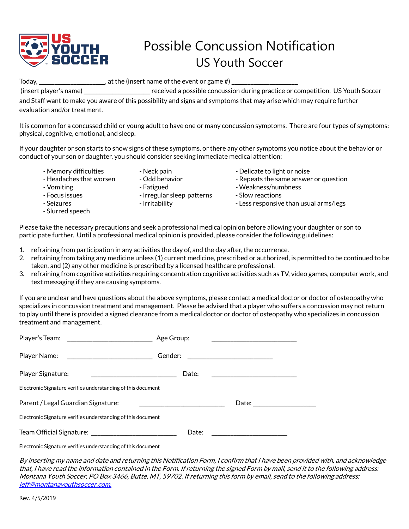

# Possible Concussion Notification US Youth Soccer

Today, \_\_\_\_\_\_\_\_\_\_\_\_\_\_\_\_\_\_\_\_\_\_\_\_\_, at the (insert name of the event or game #)  $\_$ 

(insert player's name) \_\_\_\_\_\_\_\_\_\_\_\_\_\_\_\_\_\_\_\_\_ received a possible concussion during practice or competition. US Youth Soccer and Staff want to make you aware of this possibility and signs and symptoms that may arise which may require further evaluation and/or treatment.

It is common for a concussed child or young adult to have one or many concussion symptoms. There are four types of symptoms: physical, cognitive, emotional, and sleep.

If your daughter or son starts to show signs of these symptoms, or there any other symptoms you notice about the behavior or conduct of your son or daughter, you should consider seeking immediate medical attention:

- 
- 
- 
- 
- 

- Slurred speech

- 
- 
- Memory difficulties Neck pain Neck pain Delicate to light or noise
- Headaches that worsen Odd behavior - Repeats the same answer or question
- Vomiting  $\blacksquare$  Fatigued  $\blacksquare$  Weakness/numbness
	-
- Seizures Intitability Intitability Less responsive than usual arms/legs

Please take the necessary precautions and seek a professional medical opinion before allowing your daughter or son to participate further. Until a professional medical opinion is provided, please consider the following guidelines:

- 1. refraining from participation in any activities the day of, and the day after, the occurrence.
- 2. refraining from taking any medicine unless (1) current medicine, prescribed or authorized, is permitted to be continued to be taken, and (2) any other medicine is prescribed by a licensed healthcare professional.
- 3. refraining from cognitive activities requiring concentration cognitive activities such as TV, video games, computer work, and text messaging if they are causing symptoms.

If you are unclear and have questions about the above symptoms, please contact a medical doctor or doctor of osteopathy who specializes in concussion treatment and management. Please be advised that a player who suffers a concussion may not return to play until there is provided a signed clearance from a medical doctor or doctor of osteopathy who specializes in concussion treatment and management.

| Player's Team:<br><u> 1989 - Johann Barnett, fransk politik (d. 1989)</u>                                                             | Age Group: |  |  |
|---------------------------------------------------------------------------------------------------------------------------------------|------------|--|--|
| Player Name:<br><u> 1989 - Johann Harry Harry Harry Harry Harry Harry Harry Harry Harry Harry Harry Harry Harry Harry Harry Harry</u> | Gender:    |  |  |
| Player Signature:                                                                                                                     | Date:      |  |  |
| Electronic Signature verifies understanding of this document                                                                          |            |  |  |
| Parent / Legal Guardian Signature:                                                                                                    | Date:      |  |  |
| Electronic Signature verifies understanding of this document                                                                          |            |  |  |
| Team Official Signature: _______________________                                                                                      | Date:      |  |  |

Electronic Signature verifies understanding of this document

By inserting my name and date and returning this Notification Form, I confirm that I have been provided with, and acknowledge that, I have read the information contained in the Form. If returning the signed Form by mail, send it to the following address: Montana Youth Soccer, PO Box 3466, Butte, MT, 59702. If returning this form by email, send to the following address: [jeff@montanayouthsoccer.com.](mailto:jeff@montanayouthsoccer.com)

- 
- 
- Focus issues **Focus** issues Irregular sleep patterns Slow reactions
	-